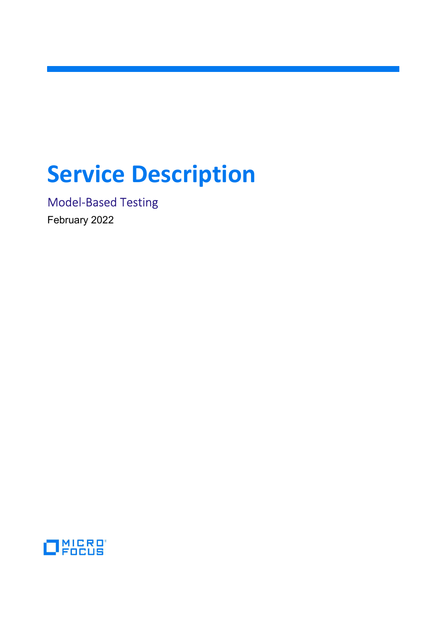# Service Description

Model-Based Testing

February 2022

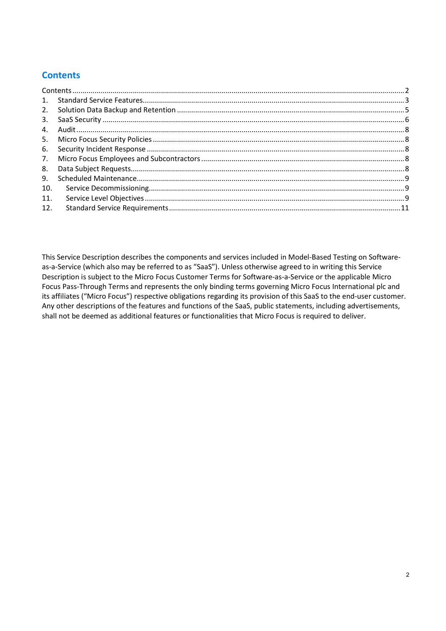# **Contents**

| 2.  |  |
|-----|--|
| 3.  |  |
| 4.  |  |
|     |  |
| 6.  |  |
| 7.  |  |
| 8.  |  |
| 9.  |  |
| 10. |  |
| 11. |  |
| 12. |  |

This Service Description describes the components and services included in Model-Based Testing on Softwareas-a-Service (which also may be referred to as "SaaS"). Unless otherwise agreed to in writing this Service Description is subject to the Micro Focus Customer Terms for Software-as-a-Service or the applicable Micro Focus Pass-Through Terms and represents the only binding terms governing Micro Focus International plc and its affiliates ("Micro Focus") respective obligations regarding its provision of this SaaS to the end-user customer. Any other descriptions of the features and functions of the SaaS, public statements, including advertisements, shall not be deemed as additional features or functionalities that Micro Focus is required to deliver.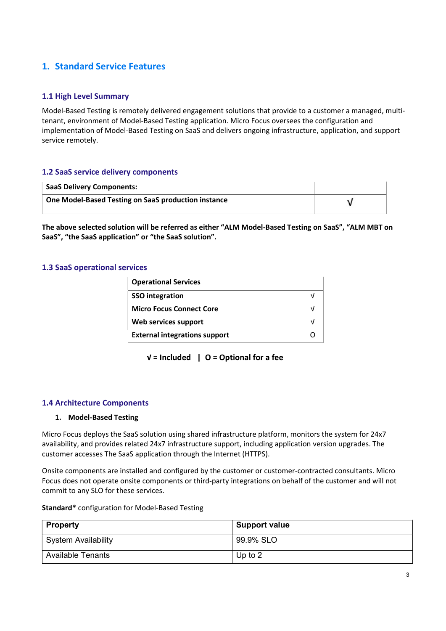# 1. Standard Service Features

## 1.1 High Level Summary

Model-Based Testing is remotely delivered engagement solutions that provide to a customer a managed, multitenant, environment of Model-Based Testing application. Micro Focus oversees the configuration and implementation of Model-Based Testing on SaaS and delivers ongoing infrastructure, application, and support service remotely.

## 1.2 SaaS service delivery components

| <b>SaaS Delivery Components:</b>                    |  |
|-----------------------------------------------------|--|
| One Model-Based Testing on SaaS production instance |  |

The above selected solution will be referred as either "ALM Model-Based Testing on SaaS", "ALM MBT on SaaS", "the SaaS application" or "the SaaS solution".

#### 1.3 SaaS operational services

| <b>Operational Services</b>          |  |
|--------------------------------------|--|
| <b>SSO</b> integration               |  |
| <b>Micro Focus Connect Core</b>      |  |
| Web services support                 |  |
| <b>External integrations support</b> |  |

 $V =$  Included | O = Optional for a fee

#### 1.4 Architecture Components

#### 1. Model-Based Testing

Micro Focus deploys the SaaS solution using shared infrastructure platform, monitors the system for 24x7 availability, and provides related 24x7 infrastructure support, including application version upgrades. The customer accesses The SaaS application through the Internet (HTTPS).

Onsite components are installed and configured by the customer or customer-contracted consultants. Micro Focus does not operate onsite components or third-party integrations on behalf of the customer and will not commit to any SLO for these services.

#### Standard\* configuration for Model-Based Testing

| <b>Property</b>          | Support value |
|--------------------------|---------------|
| System Availability      | 99.9% SLO     |
| <b>Available Tenants</b> | Up to $2$     |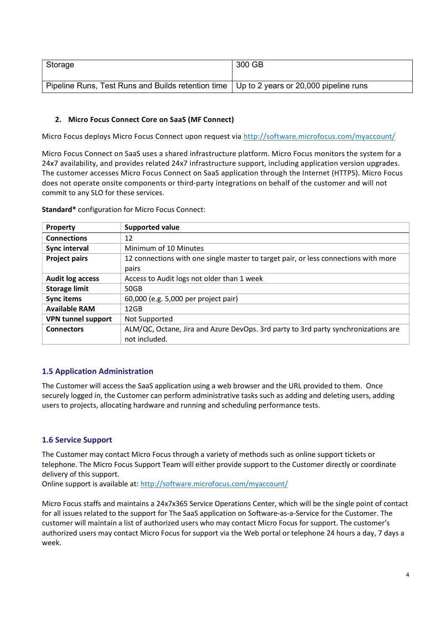| Storage                                                                                    | 300 GB |
|--------------------------------------------------------------------------------------------|--------|
| Pipeline Runs, Test Runs and Builds retention time   Up to 2 years or 20,000 pipeline runs |        |

#### 2. Micro Focus Connect Core on SaaS (MF Connect)

Micro Focus deploys Micro Focus Connect upon request via http://software.microfocus.com/myaccount/

Micro Focus Connect on SaaS uses a shared infrastructure platform. Micro Focus monitors the system for a 24x7 availability, and provides related 24x7 infrastructure support, including application version upgrades. The customer accesses Micro Focus Connect on SaaS application through the Internet (HTTPS). Micro Focus does not operate onsite components or third-party integrations on behalf of the customer and will not commit to any SLO for these services.

Standard\* configuration for Micro Focus Connect:

| Property                  | <b>Supported value</b>                                                              |
|---------------------------|-------------------------------------------------------------------------------------|
| <b>Connections</b>        | 12                                                                                  |
| Sync interval             | Minimum of 10 Minutes                                                               |
| <b>Project pairs</b>      | 12 connections with one single master to target pair, or less connections with more |
|                           | pairs                                                                               |
| <b>Audit log access</b>   | Access to Audit logs not older than 1 week                                          |
| <b>Storage limit</b>      | 50GB                                                                                |
| Sync items                | 60,000 (e.g. 5,000 per project pair)                                                |
| <b>Available RAM</b>      | $12$ GB                                                                             |
| <b>VPN tunnel support</b> | Not Supported                                                                       |
| <b>Connectors</b>         | ALM/QC, Octane, Jira and Azure DevOps. 3rd party to 3rd party synchronizations are  |
|                           | not included.                                                                       |

# 1.5 Application Administration

The Customer will access the SaaS application using a web browser and the URL provided to them. Once securely logged in, the Customer can perform administrative tasks such as adding and deleting users, adding users to projects, allocating hardware and running and scheduling performance tests.

# 1.6 Service Support

The Customer may contact Micro Focus through a variety of methods such as online support tickets or telephone. The Micro Focus Support Team will either provide support to the Customer directly or coordinate delivery of this support.

Online support is available at: http://software.microfocus.com/myaccount/

Micro Focus staffs and maintains a 24x7x365 Service Operations Center, which will be the single point of contact for all issues related to the support for The SaaS application on Software-as-a-Service for the Customer. The customer will maintain a list of authorized users who may contact Micro Focus for support. The customer's authorized users may contact Micro Focus for support via the Web portal or telephone 24 hours a day, 7 days a week.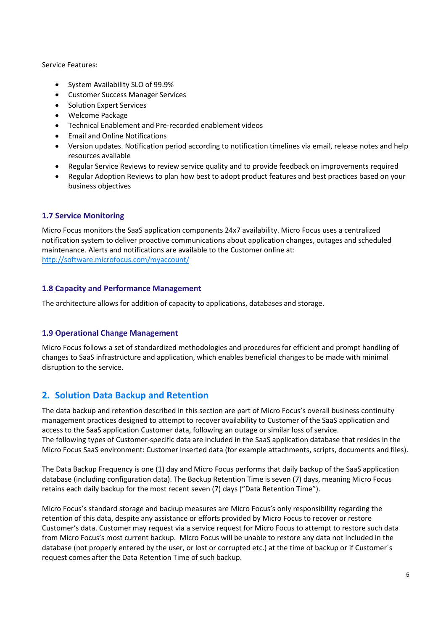Service Features:

- System Availability SLO of 99.9%
- Customer Success Manager Services
- Solution Expert Services
- Welcome Package
- Technical Enablement and Pre-recorded enablement videos
- Email and Online Notifications
- Version updates. Notification period according to notification timelines via email, release notes and help resources available
- Regular Service Reviews to review service quality and to provide feedback on improvements required
- Regular Adoption Reviews to plan how best to adopt product features and best practices based on your business objectives

# 1.7 Service Monitoring

Micro Focus monitors the SaaS application components 24x7 availability. Micro Focus uses a centralized notification system to deliver proactive communications about application changes, outages and scheduled maintenance. Alerts and notifications are available to the Customer online at: http://software.microfocus.com/myaccount/

## 1.8 Capacity and Performance Management

The architecture allows for addition of capacity to applications, databases and storage.

# 1.9 Operational Change Management

Micro Focus follows a set of standardized methodologies and procedures for efficient and prompt handling of changes to SaaS infrastructure and application, which enables beneficial changes to be made with minimal disruption to the service.

# 2. Solution Data Backup and Retention

The data backup and retention described in this section are part of Micro Focus's overall business continuity management practices designed to attempt to recover availability to Customer of the SaaS application and access to the SaaS application Customer data, following an outage or similar loss of service. The following types of Customer-specific data are included in the SaaS application database that resides in the Micro Focus SaaS environment: Customer inserted data (for example attachments, scripts, documents and files).

The Data Backup Frequency is one (1) day and Micro Focus performs that daily backup of the SaaS application database (including configuration data). The Backup Retention Time is seven (7) days, meaning Micro Focus retains each daily backup for the most recent seven (7) days ("Data Retention Time").

Micro Focus's standard storage and backup measures are Micro Focus's only responsibility regarding the retention of this data, despite any assistance or efforts provided by Micro Focus to recover or restore Customer's data. Customer may request via a service request for Micro Focus to attempt to restore such data from Micro Focus's most current backup. Micro Focus will be unable to restore any data not included in the database (not properly entered by the user, or lost or corrupted etc.) at the time of backup or if Customer´s request comes after the Data Retention Time of such backup.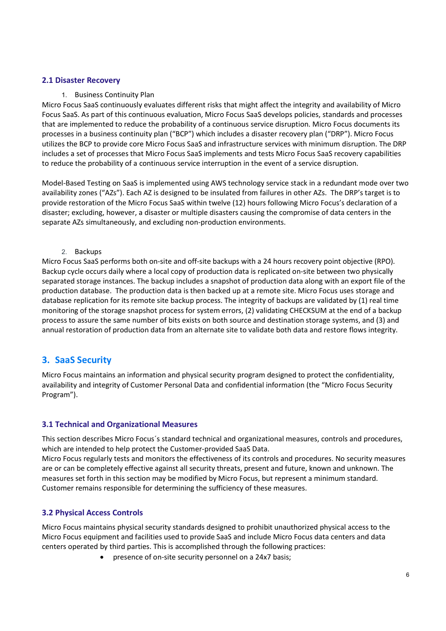## 2.1 Disaster Recovery

#### 1. Business Continuity Plan

Micro Focus SaaS continuously evaluates different risks that might affect the integrity and availability of Micro Focus SaaS. As part of this continuous evaluation, Micro Focus SaaS develops policies, standards and processes that are implemented to reduce the probability of a continuous service disruption. Micro Focus documents its processes in a business continuity plan ("BCP") which includes a disaster recovery plan ("DRP"). Micro Focus utilizes the BCP to provide core Micro Focus SaaS and infrastructure services with minimum disruption. The DRP includes a set of processes that Micro Focus SaaS implements and tests Micro Focus SaaS recovery capabilities to reduce the probability of a continuous service interruption in the event of a service disruption.

Model-Based Testing on SaaS is implemented using AWS technology service stack in a redundant mode over two availability zones ("AZs"). Each AZ is designed to be insulated from failures in other AZs. The DRP's target is to provide restoration of the Micro Focus SaaS within twelve (12) hours following Micro Focus's declaration of a disaster; excluding, however, a disaster or multiple disasters causing the compromise of data centers in the separate AZs simultaneously, and excluding non-production environments.

#### 2. Backups

Micro Focus SaaS performs both on-site and off-site backups with a 24 hours recovery point objective (RPO). Backup cycle occurs daily where a local copy of production data is replicated on-site between two physically separated storage instances. The backup includes a snapshot of production data along with an export file of the production database. The production data is then backed up at a remote site. Micro Focus uses storage and database replication for its remote site backup process. The integrity of backups are validated by (1) real time monitoring of the storage snapshot process for system errors, (2) validating CHECKSUM at the end of a backup process to assure the same number of bits exists on both source and destination storage systems, and (3) and annual restoration of production data from an alternate site to validate both data and restore flows integrity.

# 3. SaaS Security

Micro Focus maintains an information and physical security program designed to protect the confidentiality, availability and integrity of Customer Personal Data and confidential information (the "Micro Focus Security Program").

#### 3.1 Technical and Organizational Measures

This section describes Micro Focus´s standard technical and organizational measures, controls and procedures, which are intended to help protect the Customer-provided SaaS Data.

Micro Focus regularly tests and monitors the effectiveness of its controls and procedures. No security measures are or can be completely effective against all security threats, present and future, known and unknown. The measures set forth in this section may be modified by Micro Focus, but represent a minimum standard. Customer remains responsible for determining the sufficiency of these measures.

#### 3.2 Physical Access Controls

Micro Focus maintains physical security standards designed to prohibit unauthorized physical access to the Micro Focus equipment and facilities used to provide SaaS and include Micro Focus data centers and data centers operated by third parties. This is accomplished through the following practices:

presence of on-site security personnel on a 24x7 basis;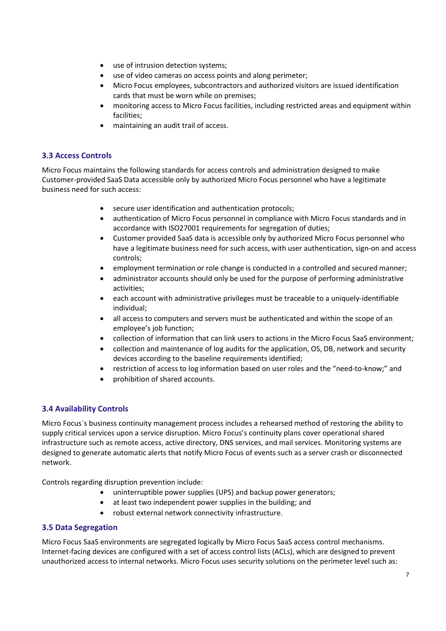- use of intrusion detection systems;
- use of video cameras on access points and along perimeter;
- Micro Focus employees, subcontractors and authorized visitors are issued identification cards that must be worn while on premises;
- monitoring access to Micro Focus facilities, including restricted areas and equipment within facilities;
- maintaining an audit trail of access.

# 3.3 Access Controls

Micro Focus maintains the following standards for access controls and administration designed to make Customer-provided SaaS Data accessible only by authorized Micro Focus personnel who have a legitimate business need for such access:

- secure user identification and authentication protocols;
- authentication of Micro Focus personnel in compliance with Micro Focus standards and in accordance with ISO27001 requirements for segregation of duties;
- Customer provided SaaS data is accessible only by authorized Micro Focus personnel who have a legitimate business need for such access, with user authentication, sign-on and access controls;
- employment termination or role change is conducted in a controlled and secured manner;
- administrator accounts should only be used for the purpose of performing administrative activities;
- each account with administrative privileges must be traceable to a uniquely-identifiable individual;
- all access to computers and servers must be authenticated and within the scope of an employee's job function;
- collection of information that can link users to actions in the Micro Focus SaaS environment;
- collection and maintenance of log audits for the application, OS, DB, network and security devices according to the baseline requirements identified;
- restriction of access to log information based on user roles and the "need-to-know;" and
- prohibition of shared accounts.

# 3.4 Availability Controls

Micro Focus´s business continuity management process includes a rehearsed method of restoring the ability to supply critical services upon a service disruption. Micro Focus's continuity plans cover operational shared infrastructure such as remote access, active directory, DNS services, and mail services. Monitoring systems are designed to generate automatic alerts that notify Micro Focus of events such as a server crash or disconnected network.

Controls regarding disruption prevention include:

- uninterruptible power supplies (UPS) and backup power generators;
- at least two independent power supplies in the building; and
- robust external network connectivity infrastructure.

# 3.5 Data Segregation

Micro Focus SaaS environments are segregated logically by Micro Focus SaaS access control mechanisms. Internet-facing devices are configured with a set of access control lists (ACLs), which are designed to prevent unauthorized access to internal networks. Micro Focus uses security solutions on the perimeter level such as: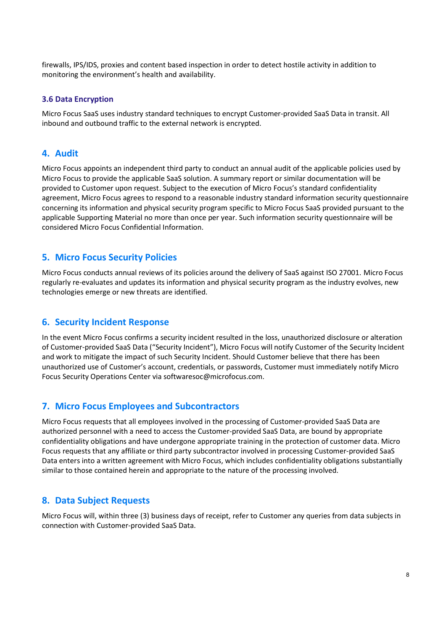firewalls, IPS/IDS, proxies and content based inspection in order to detect hostile activity in addition to monitoring the environment's health and availability.

#### 3.6 Data Encryption

Micro Focus SaaS uses industry standard techniques to encrypt Customer-provided SaaS Data in transit. All inbound and outbound traffic to the external network is encrypted.

# 4. Audit

Micro Focus appoints an independent third party to conduct an annual audit of the applicable policies used by Micro Focus to provide the applicable SaaS solution. A summary report or similar documentation will be provided to Customer upon request. Subject to the execution of Micro Focus's standard confidentiality agreement, Micro Focus agrees to respond to a reasonable industry standard information security questionnaire concerning its information and physical security program specific to Micro Focus SaaS provided pursuant to the applicable Supporting Material no more than once per year. Such information security questionnaire will be considered Micro Focus Confidential Information.

#### 5. Micro Focus Security Policies

Micro Focus conducts annual reviews of its policies around the delivery of SaaS against ISO 27001. Micro Focus regularly re-evaluates and updates its information and physical security program as the industry evolves, new technologies emerge or new threats are identified.

#### 6. Security Incident Response

In the event Micro Focus confirms a security incident resulted in the loss, unauthorized disclosure or alteration of Customer-provided SaaS Data ("Security Incident"), Micro Focus will notify Customer of the Security Incident and work to mitigate the impact of such Security Incident. Should Customer believe that there has been unauthorized use of Customer's account, credentials, or passwords, Customer must immediately notify Micro Focus Security Operations Center via softwaresoc@microfocus.com.

# 7. Micro Focus Employees and Subcontractors

Micro Focus requests that all employees involved in the processing of Customer-provided SaaS Data are authorized personnel with a need to access the Customer-provided SaaS Data, are bound by appropriate confidentiality obligations and have undergone appropriate training in the protection of customer data. Micro Focus requests that any affiliate or third party subcontractor involved in processing Customer-provided SaaS Data enters into a written agreement with Micro Focus, which includes confidentiality obligations substantially similar to those contained herein and appropriate to the nature of the processing involved.

#### 8. Data Subject Requests

Micro Focus will, within three (3) business days of receipt, refer to Customer any queries from data subjects in connection with Customer-provided SaaS Data.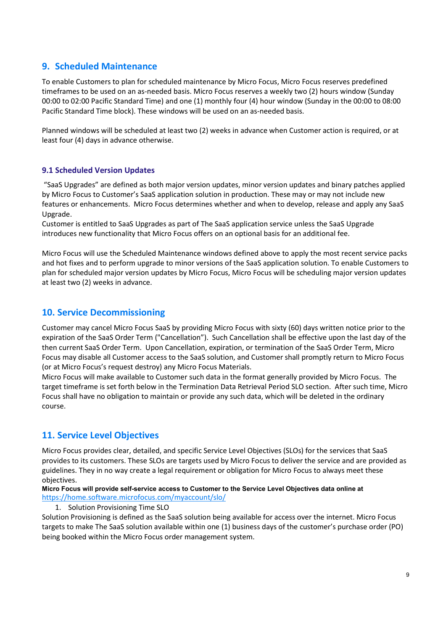# 9. Scheduled Maintenance

To enable Customers to plan for scheduled maintenance by Micro Focus, Micro Focus reserves predefined timeframes to be used on an as-needed basis. Micro Focus reserves a weekly two (2) hours window (Sunday 00:00 to 02:00 Pacific Standard Time) and one (1) monthly four (4) hour window (Sunday in the 00:00 to 08:00 Pacific Standard Time block). These windows will be used on an as-needed basis.

Planned windows will be scheduled at least two (2) weeks in advance when Customer action is required, or at least four (4) days in advance otherwise.

## 9.1 Scheduled Version Updates

 "SaaS Upgrades" are defined as both major version updates, minor version updates and binary patches applied by Micro Focus to Customer's SaaS application solution in production. These may or may not include new features or enhancements. Micro Focus determines whether and when to develop, release and apply any SaaS Upgrade.

Customer is entitled to SaaS Upgrades as part of The SaaS application service unless the SaaS Upgrade introduces new functionality that Micro Focus offers on an optional basis for an additional fee.

Micro Focus will use the Scheduled Maintenance windows defined above to apply the most recent service packs and hot fixes and to perform upgrade to minor versions of the SaaS application solution. To enable Customers to plan for scheduled major version updates by Micro Focus, Micro Focus will be scheduling major version updates at least two (2) weeks in advance.

# 10. Service Decommissioning

Customer may cancel Micro Focus SaaS by providing Micro Focus with sixty (60) days written notice prior to the expiration of the SaaS Order Term ("Cancellation"). Such Cancellation shall be effective upon the last day of the then current SaaS Order Term. Upon Cancellation, expiration, or termination of the SaaS Order Term, Micro Focus may disable all Customer access to the SaaS solution, and Customer shall promptly return to Micro Focus (or at Micro Focus's request destroy) any Micro Focus Materials.

Micro Focus will make available to Customer such data in the format generally provided by Micro Focus. The target timeframe is set forth below in the Termination Data Retrieval Period SLO section. After such time, Micro Focus shall have no obligation to maintain or provide any such data, which will be deleted in the ordinary course.

# 11. Service Level Objectives

Micro Focus provides clear, detailed, and specific Service Level Objectives (SLOs) for the services that SaaS provides to its customers. These SLOs are targets used by Micro Focus to deliver the service and are provided as guidelines. They in no way create a legal requirement or obligation for Micro Focus to always meet these objectives.

Micro Focus will provide self-service access to Customer to the Service Level Objectives data online at https://home.software.microfocus.com/myaccount/slo/

#### 1. Solution Provisioning Time SLO

Solution Provisioning is defined as the SaaS solution being available for access over the internet. Micro Focus targets to make The SaaS solution available within one (1) business days of the customer's purchase order (PO) being booked within the Micro Focus order management system.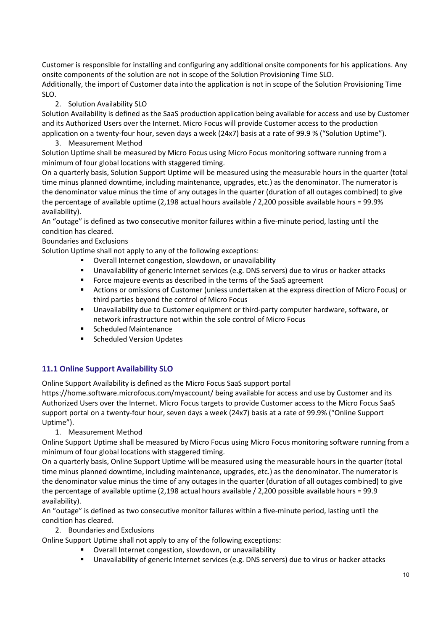Customer is responsible for installing and configuring any additional onsite components for his applications. Any onsite components of the solution are not in scope of the Solution Provisioning Time SLO. Additionally, the import of Customer data into the application is not in scope of the Solution Provisioning Time SLO.

## 2. Solution Availability SLO

Solution Availability is defined as the SaaS production application being available for access and use by Customer and its Authorized Users over the Internet. Micro Focus will provide Customer access to the production application on a twenty-four hour, seven days a week (24x7) basis at a rate of 99.9 % ("Solution Uptime").

3. Measurement Method

Solution Uptime shall be measured by Micro Focus using Micro Focus monitoring software running from a minimum of four global locations with staggered timing.

On a quarterly basis, Solution Support Uptime will be measured using the measurable hours in the quarter (total time minus planned downtime, including maintenance, upgrades, etc.) as the denominator. The numerator is the denominator value minus the time of any outages in the quarter (duration of all outages combined) to give the percentage of available uptime (2,198 actual hours available / 2,200 possible available hours = 99.9% availability).

An "outage" is defined as two consecutive monitor failures within a five-minute period, lasting until the condition has cleared.

## Boundaries and Exclusions

Solution Uptime shall not apply to any of the following exceptions:

- Overall Internet congestion, slowdown, or unavailability
- Unavailability of generic Internet services (e.g. DNS servers) due to virus or hacker attacks
- **Force majeure events as described in the terms of the SaaS agreement**
- Actions or omissions of Customer (unless undertaken at the express direction of Micro Focus) or third parties beyond the control of Micro Focus
- Unavailability due to Customer equipment or third-party computer hardware, software, or network infrastructure not within the sole control of Micro Focus
- Scheduled Maintenance
- Scheduled Version Updates

# 11.1 Online Support Availability SLO

Online Support Availability is defined as the Micro Focus SaaS support portal

https://home.software.microfocus.com/myaccount/ being available for access and use by Customer and its Authorized Users over the Internet. Micro Focus targets to provide Customer access to the Micro Focus SaaS support portal on a twenty-four hour, seven days a week (24x7) basis at a rate of 99.9% ("Online Support Uptime").

1. Measurement Method

Online Support Uptime shall be measured by Micro Focus using Micro Focus monitoring software running from a minimum of four global locations with staggered timing.

On a quarterly basis, Online Support Uptime will be measured using the measurable hours in the quarter (total time minus planned downtime, including maintenance, upgrades, etc.) as the denominator. The numerator is the denominator value minus the time of any outages in the quarter (duration of all outages combined) to give the percentage of available uptime (2,198 actual hours available / 2,200 possible available hours = 99.9 availability).

An "outage" is defined as two consecutive monitor failures within a five-minute period, lasting until the condition has cleared.

2. Boundaries and Exclusions

Online Support Uptime shall not apply to any of the following exceptions:

- Overall Internet congestion, slowdown, or unavailability
- Unavailability of generic Internet services (e.g. DNS servers) due to virus or hacker attacks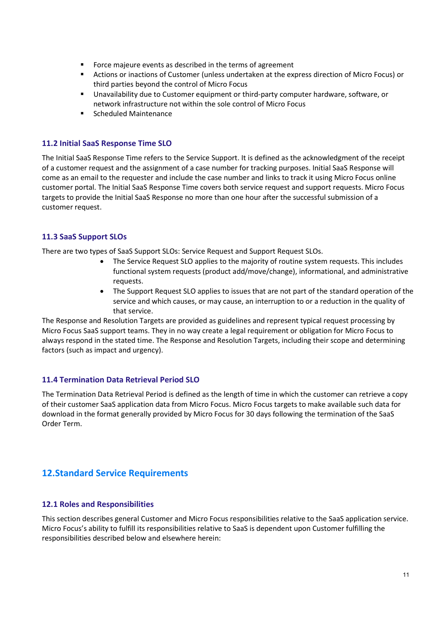- Force majeure events as described in the terms of agreement
- Actions or inactions of Customer (unless undertaken at the express direction of Micro Focus) or third parties beyond the control of Micro Focus
- Unavailability due to Customer equipment or third-party computer hardware, software, or network infrastructure not within the sole control of Micro Focus
- Scheduled Maintenance

# 11.2 Initial SaaS Response Time SLO

The Initial SaaS Response Time refers to the Service Support. It is defined as the acknowledgment of the receipt of a customer request and the assignment of a case number for tracking purposes. Initial SaaS Response will come as an email to the requester and include the case number and links to track it using Micro Focus online customer portal. The Initial SaaS Response Time covers both service request and support requests. Micro Focus targets to provide the Initial SaaS Response no more than one hour after the successful submission of a customer request.

# 11.3 SaaS Support SLOs

There are two types of SaaS Support SLOs: Service Request and Support Request SLOs.

- The Service Request SLO applies to the majority of routine system requests. This includes functional system requests (product add/move/change), informational, and administrative requests.
- The Support Request SLO applies to issues that are not part of the standard operation of the service and which causes, or may cause, an interruption to or a reduction in the quality of that service.

The Response and Resolution Targets are provided as guidelines and represent typical request processing by Micro Focus SaaS support teams. They in no way create a legal requirement or obligation for Micro Focus to always respond in the stated time. The Response and Resolution Targets, including their scope and determining factors (such as impact and urgency).

#### 11.4 Termination Data Retrieval Period SLO

The Termination Data Retrieval Period is defined as the length of time in which the customer can retrieve a copy of their customer SaaS application data from Micro Focus. Micro Focus targets to make available such data for download in the format generally provided by Micro Focus for 30 days following the termination of the SaaS Order Term.

# 12.Standard Service Requirements

#### 12.1 Roles and Responsibilities

This section describes general Customer and Micro Focus responsibilities relative to the SaaS application service. Micro Focus's ability to fulfill its responsibilities relative to SaaS is dependent upon Customer fulfilling the responsibilities described below and elsewhere herein: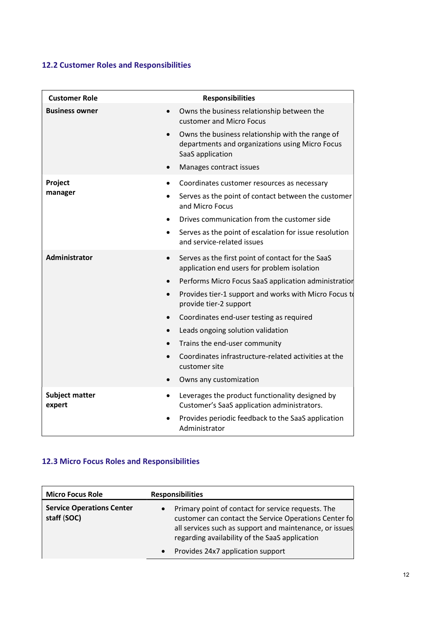# 12.2 Customer Roles and Responsibilities

| <b>Customer Role</b>               | <b>Responsibilities</b>                                                                                                 |
|------------------------------------|-------------------------------------------------------------------------------------------------------------------------|
| <b>Business owner</b><br>$\bullet$ | Owns the business relationship between the<br>customer and Micro Focus                                                  |
| $\bullet$                          | Owns the business relationship with the range of<br>departments and organizations using Micro Focus<br>SaaS application |
|                                    | Manages contract issues                                                                                                 |
| Project                            | Coordinates customer resources as necessary                                                                             |
| manager                            | Serves as the point of contact between the customer<br>and Micro Focus                                                  |
|                                    | Drives communication from the customer side                                                                             |
| $\bullet$                          | Serves as the point of escalation for issue resolution<br>and service-related issues                                    |
| Administrator<br>$\bullet$         | Serves as the first point of contact for the SaaS<br>application end users for problem isolation                        |
|                                    | Performs Micro Focus SaaS application administration                                                                    |
| $\bullet$                          | Provides tier-1 support and works with Micro Focus to<br>provide tier-2 support                                         |
|                                    | Coordinates end-user testing as required                                                                                |
| $\bullet$                          | Leads ongoing solution validation                                                                                       |
|                                    | Trains the end-user community                                                                                           |
|                                    | Coordinates infrastructure-related activities at the<br>customer site                                                   |
|                                    | Owns any customization                                                                                                  |
| <b>Subject matter</b><br>expert    | Leverages the product functionality designed by<br>Customer's SaaS application administrators.                          |
|                                    | Provides periodic feedback to the SaaS application<br>Administrator                                                     |

# 12.3 Micro Focus Roles and Responsibilities

| <b>Micro Focus Role</b>                         | <b>Responsibilities</b>                                                                                                                                                                                                                                                    |
|-------------------------------------------------|----------------------------------------------------------------------------------------------------------------------------------------------------------------------------------------------------------------------------------------------------------------------------|
| <b>Service Operations Center</b><br>staff (SOC) | Primary point of contact for service requests. The<br>customer can contact the Service Operations Center fo<br>all services such as support and maintenance, or issues<br>regarding availability of the SaaS application<br>Provides 24x7 application support<br>$\bullet$ |